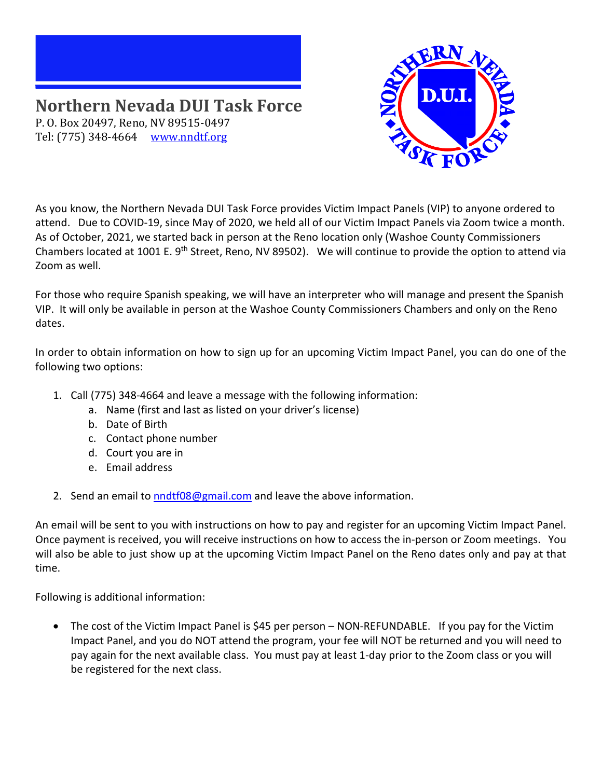## **Northern Nevada DUI Task Force** P. O. Box 20497, Reno, NV 89515-0497 Tel: (775) 348-4664 [www.nndtf.org](http://www.nndtf.org/)



As you know, the Northern Nevada DUI Task Force provides Victim Impact Panels (VIP) to anyone ordered to attend. Due to COVID-19, since May of 2020, we held all of our Victim Impact Panels via Zoom twice a month. As of October, 2021, we started back in person at the Reno location only (Washoe County Commissioners Chambers located at 1001 E. 9<sup>th</sup> Street, Reno, NV 89502). We will continue to provide the option to attend via Zoom as well.

For those who require Spanish speaking, we will have an interpreter who will manage and present the Spanish VIP. It will only be available in person at the Washoe County Commissioners Chambers and only on the Reno dates.

In order to obtain information on how to sign up for an upcoming Victim Impact Panel, you can do one of the following two options:

- 1. Call (775) 348-4664 and leave a message with the following information:
	- a. Name (first and last as listed on your driver's license)
	- b. Date of Birth
	- c. Contact phone number
	- d. Court you are in
	- e. Email address
- 2. Send an email to [nndtf08@gmail.com](mailto:nndtf08@gmail.com) and leave the above information.

An email will be sent to you with instructions on how to pay and register for an upcoming Victim Impact Panel. Once payment is received, you will receive instructions on how to access the in-person or Zoom meetings. You will also be able to just show up at the upcoming Victim Impact Panel on the Reno dates only and pay at that time.

Following is additional information:

• The cost of the Victim Impact Panel is \$45 per person – NON-REFUNDABLE. If you pay for the Victim Impact Panel, and you do NOT attend the program, your fee will NOT be returned and you will need to pay again for the next available class. You must pay at least 1-day prior to the Zoom class or you will be registered for the next class.